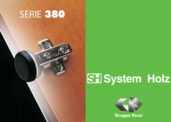## SERIE 380



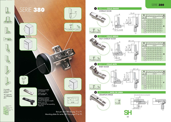

Si consiglia l'utilizzo di vetri temperati. We suggest the use of tempered

<sup>g</sup>lass.

900 fino a 7 Kg. 1600 fino a 10 Kg. 2000 fino a 13 Kg.



## SERIE 380

| B              |                   | 3              | $\overline{4}$  | 5              | $\overline{6}$ | 7              | 8 | 9         | H |  |
|----------------|-------------------|----------------|-----------------|----------------|----------------|----------------|---|-----------|---|--|
| $\triangleq$   | $\mathbf{f}$<br>ļ |                | $4 - 5 - 6 - 7$ |                |                |                |   |           |   |  |
|                | $\overline{2}$    |                |                 |                |                |                |   |           |   |  |
| 3              |                   |                |                 |                |                |                |   |           |   |  |
| $\overline{4}$ | 4                 |                |                 |                |                |                |   |           |   |  |
| $\delta$       | 6                 | $\overline{2}$ |                 |                |                |                |   |           | F |  |
| 8              | 8                 | $\overline{4}$ | 3               | $\overline{2}$ |                |                |   |           |   |  |
|                | 10                |                |                 | 4              | 3              | $\overline{2}$ |   | $\bigcap$ |   |  |
|                | 14                |                |                 |                |                |                |   |           |   |  |



| В              |                | 3              | $\overline{4}$  | 5              | 6      | 7                   | 8  | 9  | H |  |
|----------------|----------------|----------------|-----------------|----------------|--------|---------------------|----|----|---|--|
|                | $\mathbf{P}$   |                | $4 - 5 - 6 - 7$ |                |        |                     |    |    |   |  |
|                | $\overline{2}$ | 10             |                 | 12             | 3<br>1 | T<br>$\overline{4}$ | 15 | 16 |   |  |
| 3              |                | 9              |                 |                | 12     | 13                  | 14 | 15 |   |  |
| $\overline{4}$ | 4              | 8              | 9               | $\vert$ ()     |        | 12                  | 13 | 14 |   |  |
| 6              | 6              | 6              | 7               | 8              | 9      | $\bigcirc$          |    | 12 | K |  |
| 8              | 8              | $\overline{A}$ | $\sqrt{2}$      | 6              | 7      | 8                   | 9  | 10 |   |  |
|                | 10             | $\overline{2}$ | 3               | $\overline{A}$ | 5      | $\triangle$         | 7  | 8  |   |  |
|                | 14             | $-2$           | -1              | ∩              |        | $\overline{2}$      | 3  | 4  |   |  |

| B                        |                | 3  | 4               | 5  | 6     | - 7   | 8  | 9  |  |  |
|--------------------------|----------------|----|-----------------|----|-------|-------|----|----|--|--|
|                          | ₩              |    | $4 - 5 - 6 - 7$ |    |       |       |    |    |  |  |
|                          | $\overline{2}$ | 19 | 20 21           |    |       | 22 23 | 24 | 25 |  |  |
| 3                        |                | 18 | $\circ$         | 20 | 2     | 22    | 23 | 24 |  |  |
| $\overline{\mathcal{A}}$ | 4              | 17 | 18              | 19 | 20 21 |       | 22 | 23 |  |  |
| 6                        | 6              | 15 | 16              | 17 | 18    | 19    | 20 | 21 |  |  |
| 8                        | 8              | 13 | 14              | 15 | 16    | 17    | 18 | 19 |  |  |
|                          | 10             |    | 12              | 13 | 14    | 15    | 16 | 17 |  |  |
|                          | 14             |    | 8               | 9  | 10    |       | 12 | 13 |  |  |